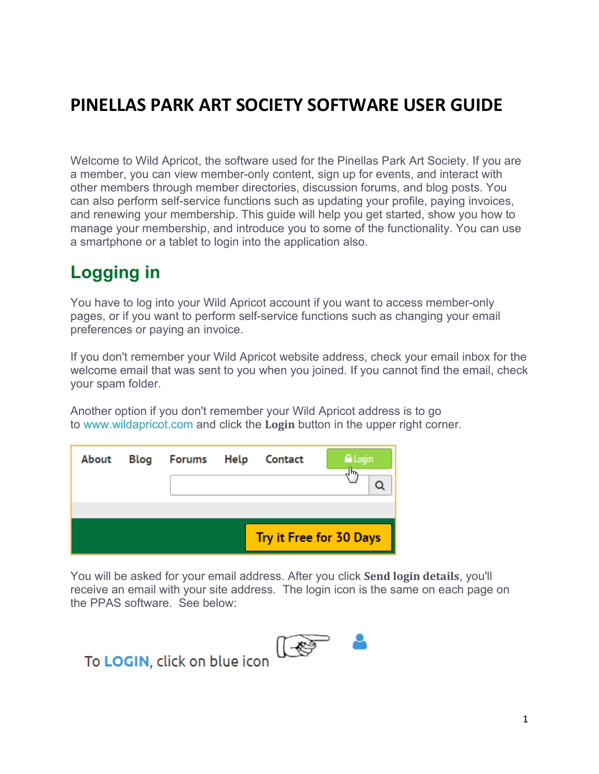# **PINELLAS PARK ART SOCIETY SOFTWARE USER GUIDE**

Welcome to Wild Apricot, the software used for the Pinellas Park Art Society. If you are a member, you can view member-only content, sign up for events, and interact with other members through member directories, discussion forums, and blog posts. You can also perform self-service functions such as updating your profile, paying invoices, and renewing your membership. This guide will help you get started, show you how to manage your membership, and introduce you to some of the functionality. You can use a smartphone or a tablet to login into the application also.

# **Logging in**

You have to log into your Wild Apricot account if you want to access member-only pages, or if you want to perform self-service functions such as changing your email preferences or paying an invoice.

If you don't remember your Wild Apricot website address, check your email inbox for the welcome email that was sent to you when you joined. If you cannot find the email, check your spam folder.

Another option if you don't remember your Wild Apricot address is to go to [www.wildapricot.com](http://www.wildapricot.com/) and click the **Login** button in the upper right corner.

| About | Blog | Forums Help | Contact | A Login<br>╖                   |
|-------|------|-------------|---------|--------------------------------|
|       |      |             |         | <b>Try it Free for 30 Days</b> |

You will be asked for your email address. After you click **Send login details**, you'll receive an email with your site address. The login icon is the same on each page on the PPAS software. See below:



# To LOGIN, click on blue icon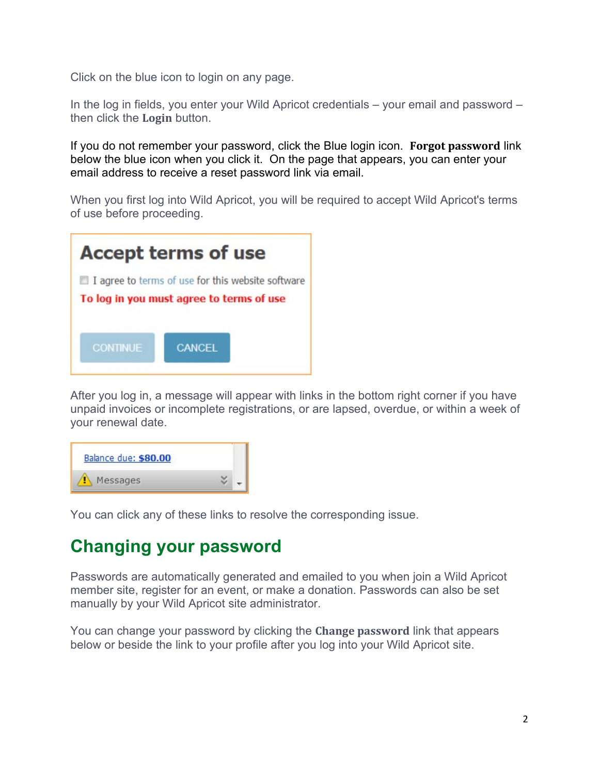Click on the blue icon to login on any page.

In the log in fields, you enter your Wild Apricot credentials – your email and password – then click the **Login** button.

If you do not remember your password, click the Blue login icon. **Forgot password** link below the blue icon when you click it. On the page that appears, you can enter your email address to receive a reset password link via email.

When you first log into Wild Apricot, you will be required to accept Wild Apricot's terms of use before proceeding.

| <b>Accept terms of use</b>                                                                    |  |
|-----------------------------------------------------------------------------------------------|--|
| I agree to terms of use for this website software<br>To log in you must agree to terms of use |  |
| <b>CONTINUE</b><br><b>CANCEL</b>                                                              |  |

After you log in, a message will appear with links in the bottom right corner if you have unpaid invoices or incomplete registrations, or are lapsed, overdue, or within a week of your renewal date.

| Balance due: \$80.00 |  |
|----------------------|--|
| Messages             |  |

You can click any of these links to resolve the corresponding issue.

## **Changing your password**

Passwords are automatically generated and emailed to you when join a Wild Apricot member site, register for an event, or make a donation. Passwords can also be set manually by your Wild Apricot site administrator.

You can change your password by clicking the **Change password** link that appears below or beside the link to your profile after you log into your Wild Apricot site.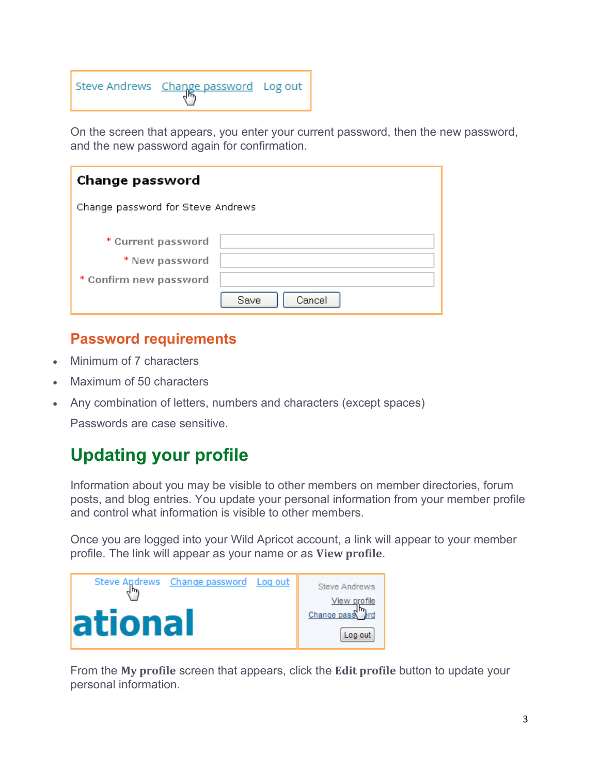| Steve Andrews Change password Log out |  |  |
|---------------------------------------|--|--|
|---------------------------------------|--|--|

On the screen that appears, you enter your current password, then the new password, and the new password again for confirmation.

| Change password                                                |                |  |
|----------------------------------------------------------------|----------------|--|
| Change password for Steve Andrews                              |                |  |
| * Current password<br>* New password<br>* Confirm new password | Cancel<br>Save |  |

### **Password requirements**

- Minimum of 7 characters
- Maximum of 50 characters
- Any combination of letters, numbers and characters (except spaces)

Passwords are case sensitive.

# **Updating your profile**

Information about you may be visible to other members on member directories, forum posts, and blog entries. You update your personal information from your member profile and control what information is visible to other members.

Once you are logged into your Wild Apricot account, a link will appear to your member profile. The link will appear as your name or as **View profile**.



From the **My profile** screen that appears, click the **Edit profile** button to update your personal information.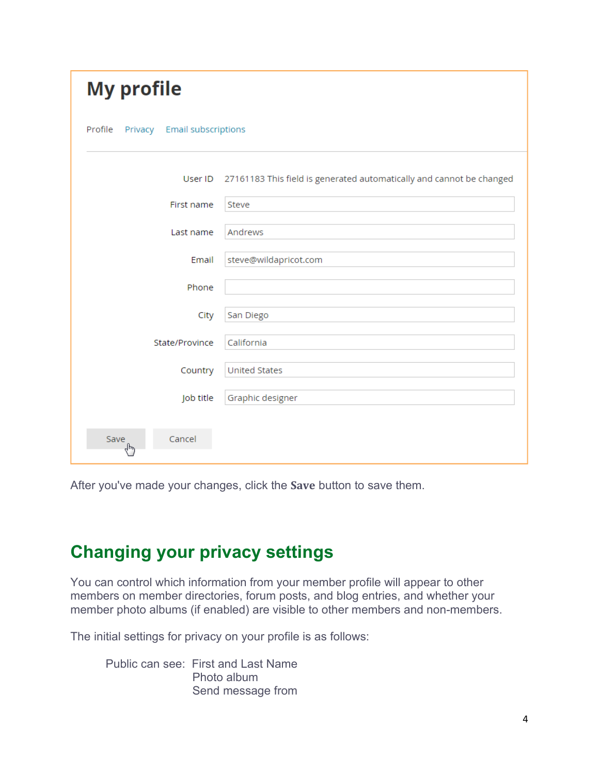| <b>My profile</b>                                |                                                                      |  |  |
|--------------------------------------------------|----------------------------------------------------------------------|--|--|
| Profile<br><b>Email subscriptions</b><br>Privacy |                                                                      |  |  |
| User ID                                          | 27161183 This field is generated automatically and cannot be changed |  |  |
| First name                                       | Steve                                                                |  |  |
| Last name                                        | Andrews                                                              |  |  |
| Email                                            | steve@wildapricot.com                                                |  |  |
| Phone                                            |                                                                      |  |  |
| City                                             | San Diego                                                            |  |  |
| State/Province                                   | California                                                           |  |  |
| Country                                          | <b>United States</b>                                                 |  |  |
| Job title                                        | Graphic designer                                                     |  |  |
| Cancel<br>Save<br>لى<br>م                        |                                                                      |  |  |

After you've made your changes, click the **Save** button to save them.

# **Changing your privacy settings**

You can control which information from your member profile will appear to other members on member directories, forum posts, and blog entries, and whether your member photo albums (if enabled) are visible to other members and non-members.

The initial settings for privacy on your profile is as follows:

Public can see: First and Last Name Photo album Send message from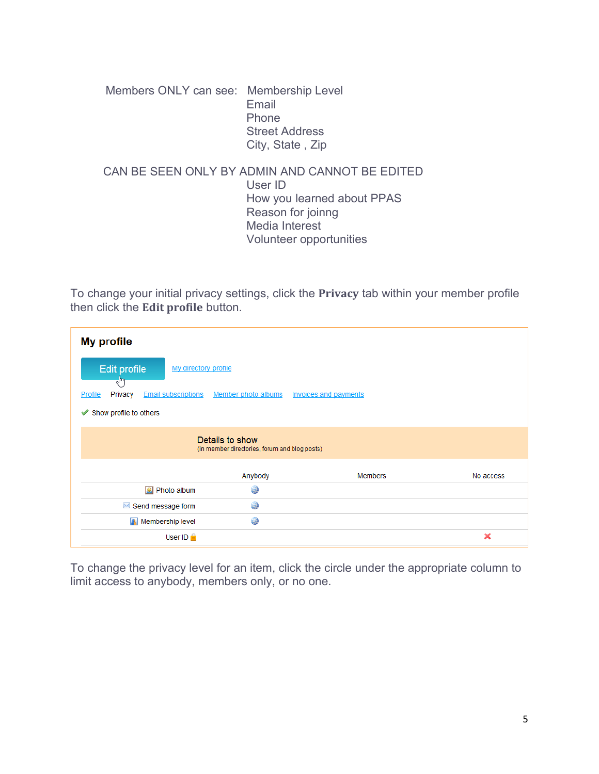Members ONLY can see: Membership Level Email Phone Street Address City, State , Zip

#### CAN BE SEEN ONLY BY ADMIN AND CANNOT BE EDITED User ID How you learned about PPAS Reason for joinng Media Interest Volunteer opportunities

To change your initial privacy settings, click the **Privacy** tab within your member profile then click the **Edit profile** button.

| <b>My profile</b>                                                                                       |         |                |           |
|---------------------------------------------------------------------------------------------------------|---------|----------------|-----------|
| Edit profile<br>My directory profile<br>$\epsilon$                                                      |         |                |           |
| <b>Invoices and payments</b><br><b>Email subscriptions</b><br>Member photo albums<br>Profile<br>Privacy |         |                |           |
| Show profile to others<br>✔                                                                             |         |                |           |
| Details to show<br>(in member directories, forum and blog posts)                                        |         |                |           |
|                                                                                                         | Anybody | <b>Members</b> | No access |
| Photo album                                                                                             | 曲       |                |           |
| $\blacksquare$ Send message form                                                                        | 曲       |                |           |
| <b>P</b> Membership level                                                                               | 4       |                |           |
| User ID $\triangle$                                                                                     |         |                | ×         |

To change the privacy level for an item, click the circle under the appropriate column to limit access to anybody, members only, or no one.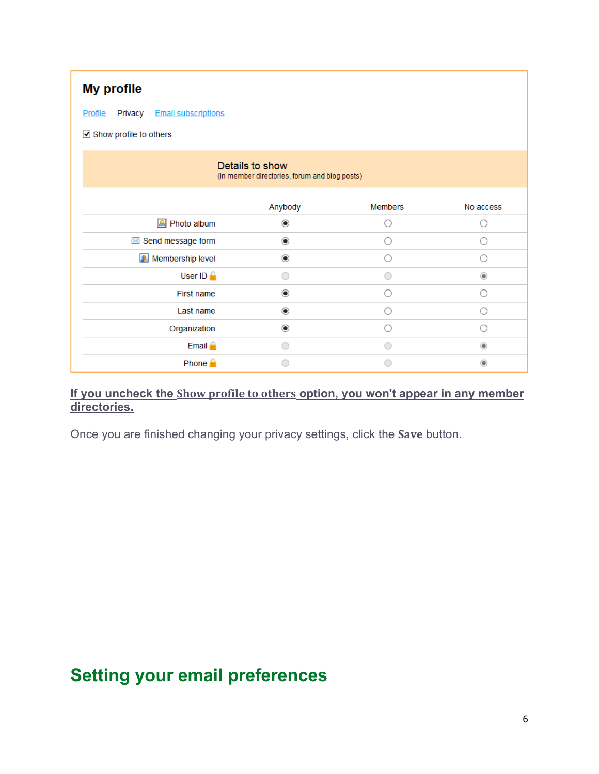| <b>My profile</b>                                |                                                                  |                |            |
|--------------------------------------------------|------------------------------------------------------------------|----------------|------------|
| <b>Email subscriptions</b><br>Privacy<br>Profile |                                                                  |                |            |
| Show profile to others                           |                                                                  |                |            |
|                                                  | Details to show<br>(in member directories, forum and blog posts) |                |            |
|                                                  | Anybody                                                          | <b>Members</b> | No access  |
| Photo album                                      | $\odot$                                                          |                |            |
| Send message form                                | $\circledcirc$                                                   | 0              | ○          |
| <b>A</b> Membership level                        | $_{\circ}$                                                       | ( )            | 0          |
| User ID $\triangle$                              | ∩                                                                |                | $^{\circ}$ |
| First name                                       | $^{\circ}$                                                       | ∩              | 0          |
| Last name                                        | $\circledcirc$                                                   | ( )            | ◯          |
| Organization                                     | $\circledcirc$                                                   |                | ◯          |
| Email $\triangle$                                | ∩                                                                | ∩              | ۰          |
| Phone $\blacksquare$                             |                                                                  |                |            |

### **If you uncheck the Show profile to others option, you won't appear in any member directories.**

Once you are finished changing your privacy settings, click the **Save** button.

# **Setting your email preferences**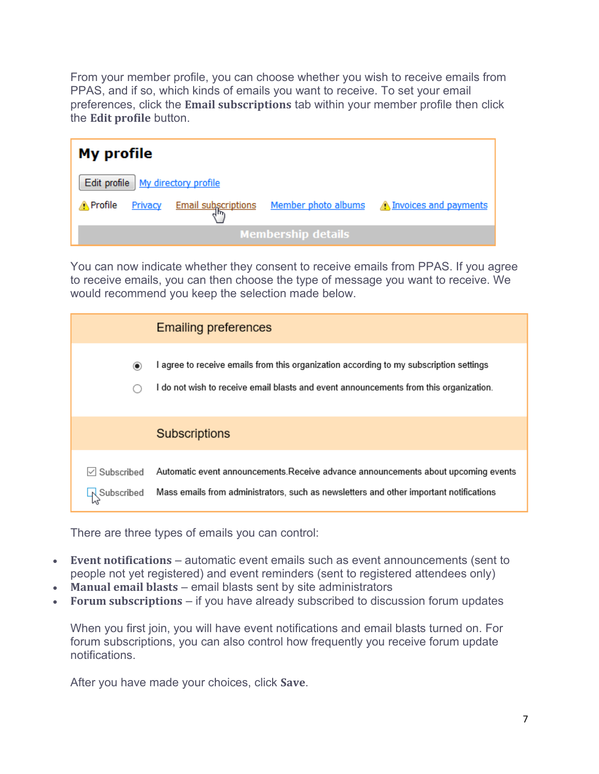From your member profile, you can choose whether you wish to receive emails from PPAS, and if so, which kinds of emails you want to receive. To set your email preferences, click the **Email subscriptions** tab within your member profile then click the **Edit profile** button.

|                  | <b>My profile</b> |                                     |                           |                                                                 |
|------------------|-------------------|-------------------------------------|---------------------------|-----------------------------------------------------------------|
|                  |                   | Edit profile   My directory profile |                           |                                                                 |
| <u>A</u> Profile | Privacy           |                                     |                           | Email subscriptions Member photo albums A Invoices and payments |
|                  |                   |                                     | <b>Membership details</b> |                                                                 |

You can now indicate whether they consent to receive emails from PPAS. If you agree to receive emails, you can then choose the type of message you want to receive. We would recommend you keep the selection made below.

|                                          | <b>Emailing preferences</b>                                                                                                                                                     |
|------------------------------------------|---------------------------------------------------------------------------------------------------------------------------------------------------------------------------------|
| $\circ$                                  | I agree to receive emails from this organization according to my subscription settings<br>I do not wish to receive email blasts and event announcements from this organization. |
|                                          | <b>Subscriptions</b>                                                                                                                                                            |
| Subscribed<br>L <sub>I</sub> ∖Subscribed | Automatic event announcements. Receive advance announcements about upcoming events<br>Mass emails from administrators, such as newsletters and other important notifications    |

There are three types of emails you can control:

- **Event notifications** automatic event emails such as event announcements (sent to people not yet registered) and event reminders (sent to registered attendees only)
- **Manual email blasts** email blasts sent by site administrators
- **Forum subscriptions** if you have already subscribed to discussion forum updates

When you first join, you will have event notifications and email blasts turned on. For forum subscriptions, you can also control how frequently you receive forum update notifications.

After you have made your choices, click **Save**.